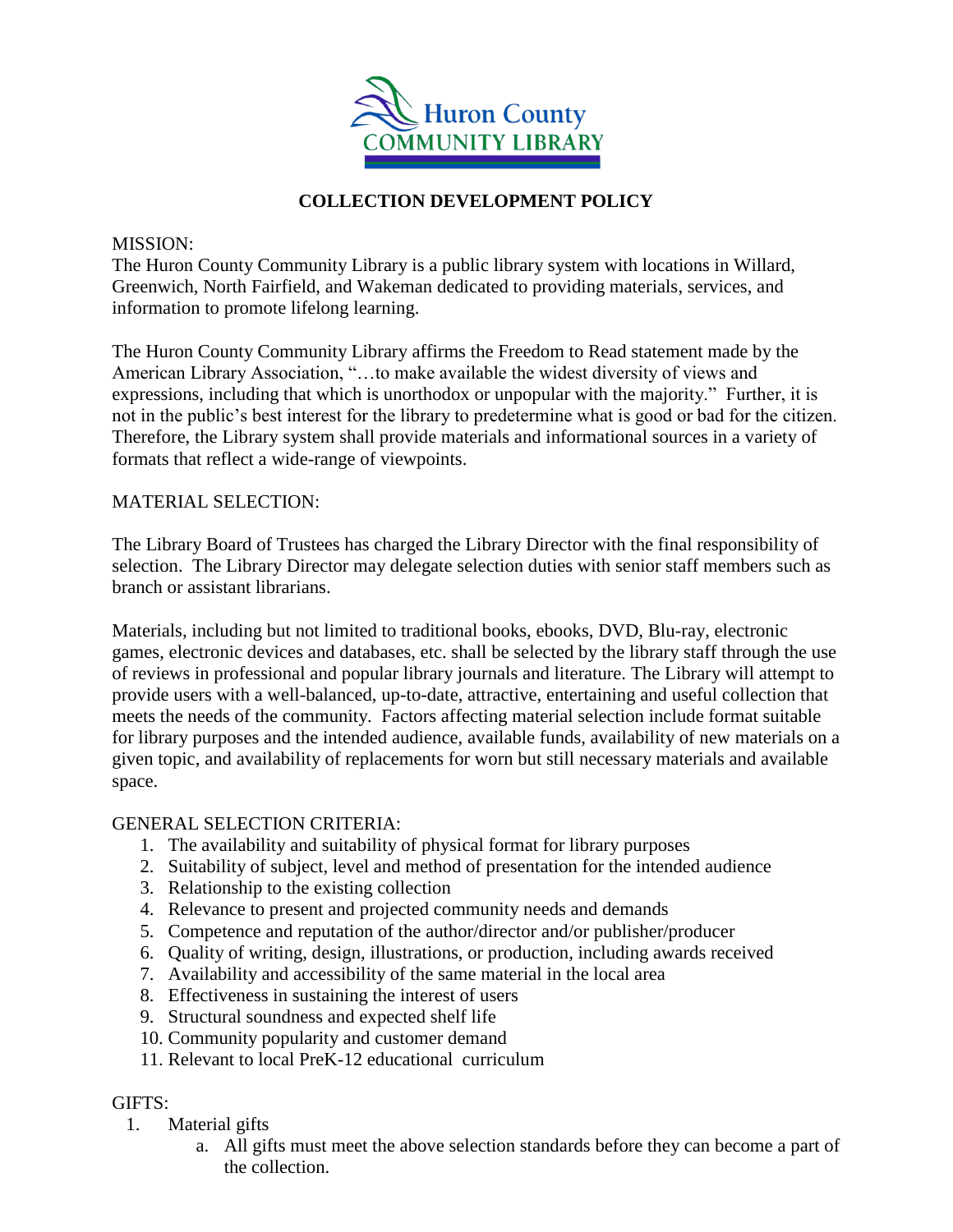

# **COLLECTION DEVELOPMENT POLICY**

### MISSION:

The Huron County Community Library is a public library system with locations in Willard, Greenwich, North Fairfield, and Wakeman dedicated to providing materials, services, and information to promote lifelong learning.

The Huron County Community Library affirms the Freedom to Read statement made by the American Library Association, "…to make available the widest diversity of views and expressions, including that which is unorthodox or unpopular with the majority." Further, it is not in the public's best interest for the library to predetermine what is good or bad for the citizen. Therefore, the Library system shall provide materials and informational sources in a variety of formats that reflect a wide-range of viewpoints.

## MATERIAL SELECTION:

The Library Board of Trustees has charged the Library Director with the final responsibility of selection. The Library Director may delegate selection duties with senior staff members such as branch or assistant librarians.

Materials, including but not limited to traditional books, ebooks, DVD, Blu-ray, electronic games, electronic devices and databases, etc. shall be selected by the library staff through the use of reviews in professional and popular library journals and literature. The Library will attempt to provide users with a well-balanced, up-to-date, attractive, entertaining and useful collection that meets the needs of the community. Factors affecting material selection include format suitable for library purposes and the intended audience, available funds, availability of new materials on a given topic, and availability of replacements for worn but still necessary materials and available space.

#### GENERAL SELECTION CRITERIA:

- 1. The availability and suitability of physical format for library purposes
- 2. Suitability of subject, level and method of presentation for the intended audience
- 3. Relationship to the existing collection
- 4. Relevance to present and projected community needs and demands
- 5. Competence and reputation of the author/director and/or publisher/producer
- 6. Quality of writing, design, illustrations, or production, including awards received
- 7. Availability and accessibility of the same material in the local area
- 8. Effectiveness in sustaining the interest of users
- 9. Structural soundness and expected shelf life
- 10. Community popularity and customer demand
- 11. Relevant to local PreK-12 educational curriculum

# GIFTS:

- 1. Material gifts
	- a. All gifts must meet the above selection standards before they can become a part of the collection.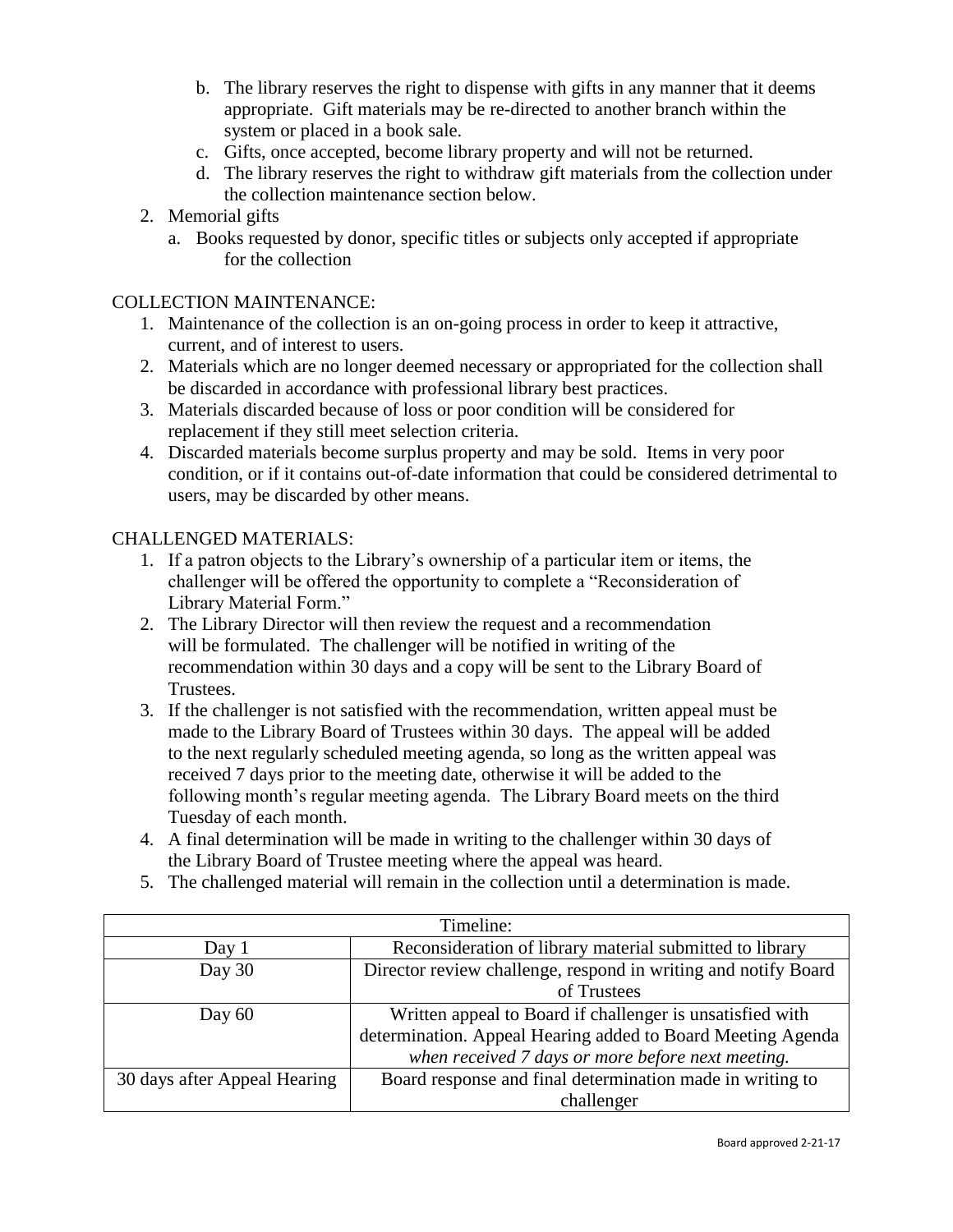- b. The library reserves the right to dispense with gifts in any manner that it deems appropriate. Gift materials may be re-directed to another branch within the system or placed in a book sale.
- c. Gifts, once accepted, become library property and will not be returned.
- d. The library reserves the right to withdraw gift materials from the collection under the collection maintenance section below.
- 2. Memorial gifts
	- a. Books requested by donor, specific titles or subjects only accepted if appropriate for the collection

## COLLECTION MAINTENANCE:

- 1. Maintenance of the collection is an on-going process in order to keep it attractive, current, and of interest to users.
- 2. Materials which are no longer deemed necessary or appropriated for the collection shall be discarded in accordance with professional library best practices.
- 3. Materials discarded because of loss or poor condition will be considered for replacement if they still meet selection criteria.
- 4. Discarded materials become surplus property and may be sold. Items in very poor condition, or if it contains out-of-date information that could be considered detrimental to users, may be discarded by other means.

## CHALLENGED MATERIALS:

- 1. If a patron objects to the Library's ownership of a particular item or items, the challenger will be offered the opportunity to complete a "Reconsideration of Library Material Form."
- 2. The Library Director will then review the request and a recommendation will be formulated. The challenger will be notified in writing of the recommendation within 30 days and a copy will be sent to the Library Board of Trustees.
- 3. If the challenger is not satisfied with the recommendation, written appeal must be made to the Library Board of Trustees within 30 days. The appeal will be added to the next regularly scheduled meeting agenda, so long as the written appeal was received 7 days prior to the meeting date, otherwise it will be added to the following month's regular meeting agenda. The Library Board meets on the third Tuesday of each month.
- 4. A final determination will be made in writing to the challenger within 30 days of the Library Board of Trustee meeting where the appeal was heard.
- 5. The challenged material will remain in the collection until a determination is made.

| Timeline:                    |                                                                |  |  |  |  |  |
|------------------------------|----------------------------------------------------------------|--|--|--|--|--|
| Day 1                        | Reconsideration of library material submitted to library       |  |  |  |  |  |
| Day 30                       | Director review challenge, respond in writing and notify Board |  |  |  |  |  |
|                              | of Trustees                                                    |  |  |  |  |  |
| Day $60$                     | Written appeal to Board if challenger is unsatisfied with      |  |  |  |  |  |
|                              | determination. Appeal Hearing added to Board Meeting Agenda    |  |  |  |  |  |
|                              | when received 7 days or more before next meeting.              |  |  |  |  |  |
| 30 days after Appeal Hearing | Board response and final determination made in writing to      |  |  |  |  |  |
|                              | challenger                                                     |  |  |  |  |  |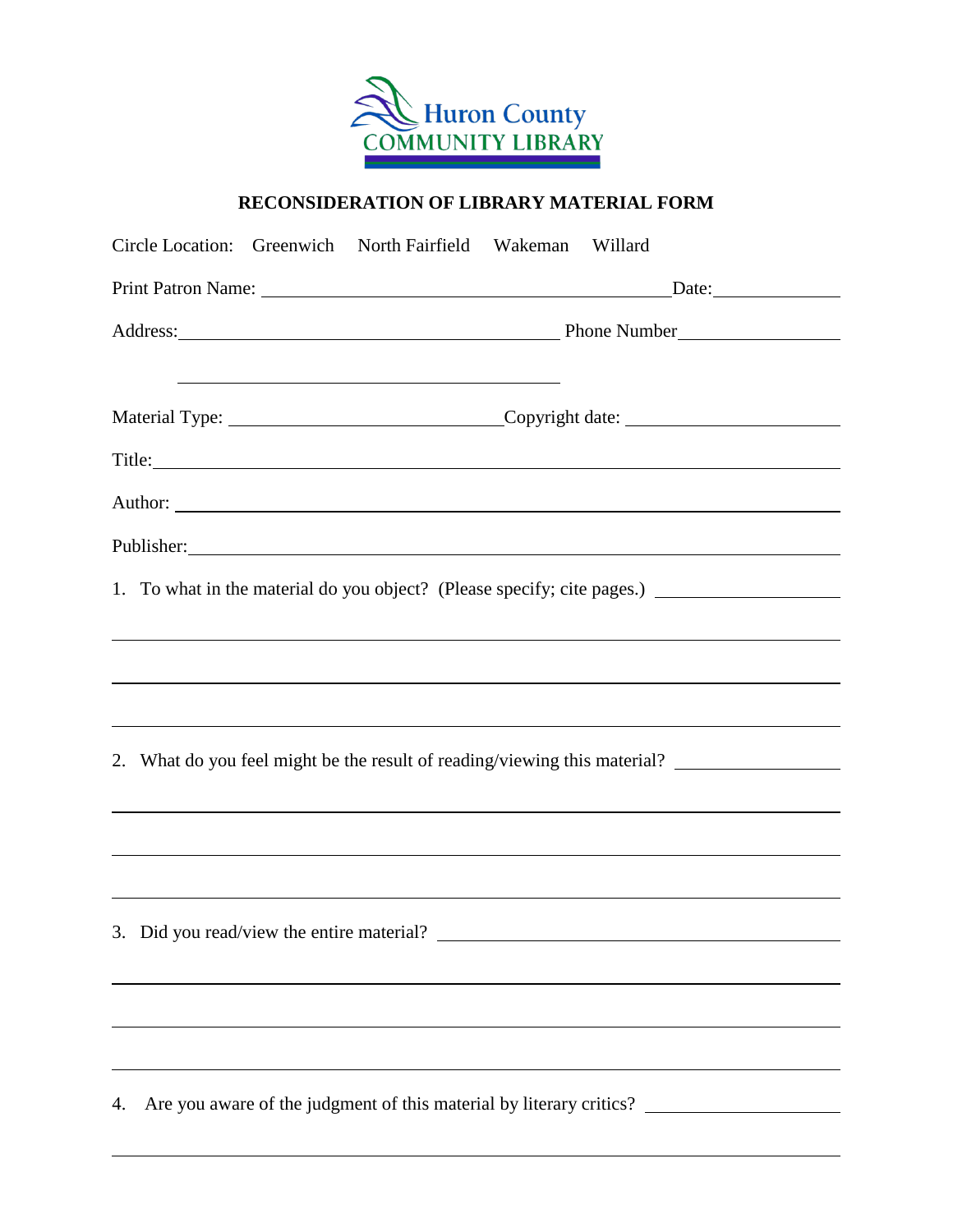

# **RECONSIDERATION OF LIBRARY MATERIAL FORM**

| Circle Location: Greenwich North Fairfield Wakeman Willard                                                            |                                                                                                                                                                                                                                |  |  |  |  |
|-----------------------------------------------------------------------------------------------------------------------|--------------------------------------------------------------------------------------------------------------------------------------------------------------------------------------------------------------------------------|--|--|--|--|
|                                                                                                                       | $\text{Date:}$                                                                                                                                                                                                                 |  |  |  |  |
|                                                                                                                       |                                                                                                                                                                                                                                |  |  |  |  |
| <u> 1989 - Johann Barn, mars and de Branch Barn, mars and de Branch Barn, mars and de Branch Barn, mars and de Br</u> | Material Type: __________________________________Copyright date: ________________                                                                                                                                              |  |  |  |  |
|                                                                                                                       | Title: The contract of the contract of the contract of the contract of the contract of the contract of the contract of the contract of the contract of the contract of the contract of the contract of the contract of the con |  |  |  |  |
|                                                                                                                       | Author: <u>Authority</u>                                                                                                                                                                                                       |  |  |  |  |
|                                                                                                                       | Publisher: New York: New York: New York: New York: New York: New York: New York: New York: New York: New York: New York: New York: New York: New York: New York: New York: New York: New York: New York: New York: New York: N |  |  |  |  |
|                                                                                                                       | 1. To what in the material do you object? (Please specify; cite pages.) ____________________________<br>,我们也不会有什么。""我们的人,我们也不会有什么?""我们的人,我们也不会有什么?""我们的人,我们也不会有什么?""我们的人,我们也不会有什么?""我们的人                                       |  |  |  |  |
|                                                                                                                       |                                                                                                                                                                                                                                |  |  |  |  |
|                                                                                                                       |                                                                                                                                                                                                                                |  |  |  |  |
|                                                                                                                       | 2. What do you feel might be the result of reading/viewing this material? __________________________                                                                                                                           |  |  |  |  |
|                                                                                                                       |                                                                                                                                                                                                                                |  |  |  |  |
|                                                                                                                       |                                                                                                                                                                                                                                |  |  |  |  |
| 3. Did you read/view the entire material?                                                                             |                                                                                                                                                                                                                                |  |  |  |  |
|                                                                                                                       |                                                                                                                                                                                                                                |  |  |  |  |
|                                                                                                                       |                                                                                                                                                                                                                                |  |  |  |  |
| 4.                                                                                                                    |                                                                                                                                                                                                                                |  |  |  |  |